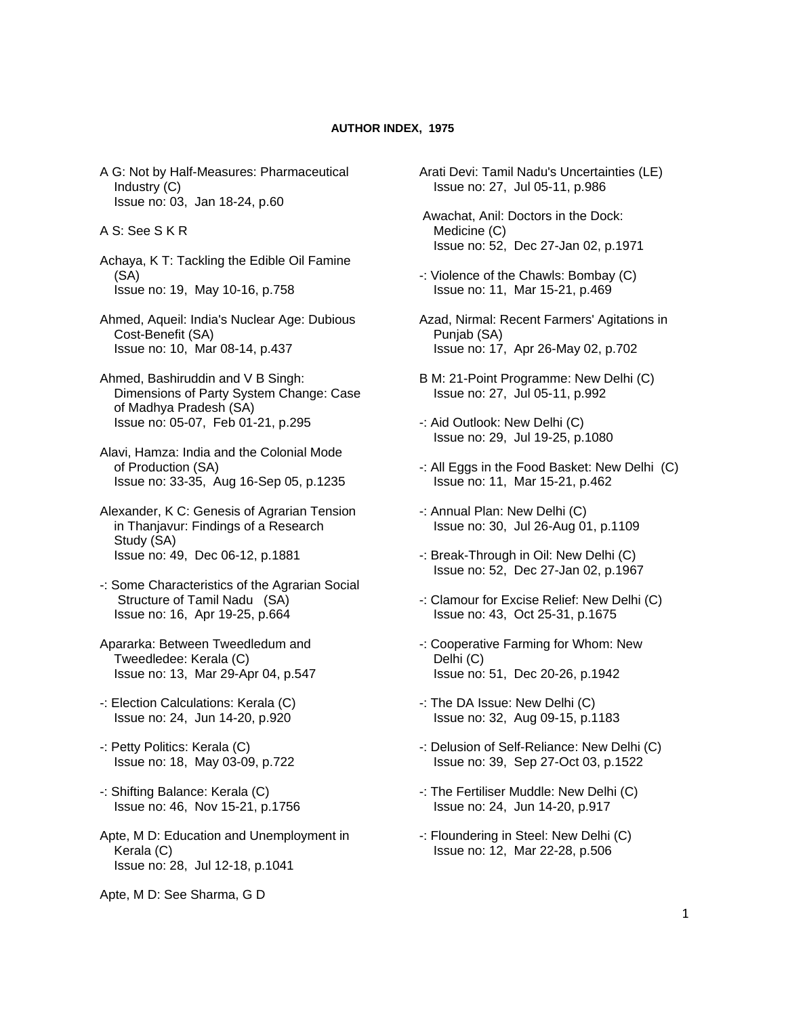## **AUTHOR INDEX, 1975**

- A G: Not by Half-Measures: Pharmaceutical Industry (C) Issue no: 03, Jan 18-24, p.60
- A S: See S K R
- Achaya, K T: Tackling the Edible Oil Famine (SA) Issue no: 19, May 10-16, p.758
- Ahmed, Aqueil: India's Nuclear Age: Dubious Cost-Benefit (SA) Issue no: 10, Mar 08-14, p.437
- Ahmed, Bashiruddin and V B Singh: Dimensions of Party System Change: Case of Madhya Pradesh (SA) Issue no: 05-07, Feb 01-21, p.295
- Alavi, Hamza: India and the Colonial Mode of Production (SA) Issue no: 33-35, Aug 16-Sep 05, p.1235
- Alexander, K C: Genesis of Agrarian Tension in Thanjavur: Findings of a Research Study (SA) Issue no: 49, Dec 06-12, p.1881
- -: Some Characteristics of the Agrarian Social Structure of Tamil Nadu (SA) Issue no: 16, Apr 19-25, p.664
- Apararka: Between Tweedledum and Tweedledee: Kerala (C) Issue no: 13, Mar 29-Apr 04, p.547
- -: Election Calculations: Kerala (C) Issue no: 24, Jun 14-20, p.920
- -: Petty Politics: Kerala (C) Issue no: 18, May 03-09, p.722
- -: Shifting Balance: Kerala (C) Issue no: 46, Nov 15-21, p.1756
- Apte, M D: Education and Unemployment in Kerala (C) Issue no: 28, Jul 12-18, p.1041
- Apte, M D: See Sharma, G D
- Arati Devi: Tamil Nadu's Uncertainties (LE) Issue no: 27, Jul 05-11, p.986
- Awachat, Anil: Doctors in the Dock: Medicine (C) Issue no: 52, Dec 27-Jan 02, p.1971
- -: Violence of the Chawls: Bombay (C) Issue no: 11, Mar 15-21, p.469
- Azad, Nirmal: Recent Farmers' Agitations in Punjab (SA) Issue no: 17, Apr 26-May 02, p.702
- B M: 21-Point Programme: New Delhi (C) Issue no: 27, Jul 05-11, p.992
- -: Aid Outlook: New Delhi (C) Issue no: 29, Jul 19-25, p.1080
- -: All Eggs in the Food Basket: New Delhi (C) Issue no: 11, Mar 15-21, p.462
- -: Annual Plan: New Delhi (C) Issue no: 30, Jul 26-Aug 01, p.1109
- -: Break-Through in Oil: New Delhi (C) Issue no: 52, Dec 27-Jan 02, p.1967
- -: Clamour for Excise Relief: New Delhi (C) Issue no: 43, Oct 25-31, p.1675
- -: Cooperative Farming for Whom: New Delhi (C) Issue no: 51, Dec 20-26, p.1942
- -: The DA Issue: New Delhi (C) Issue no: 32, Aug 09-15, p.1183
- -: Delusion of Self-Reliance: New Delhi (C) Issue no: 39, Sep 27-Oct 03, p.1522
- -: The Fertiliser Muddle: New Delhi (C) Issue no: 24, Jun 14-20, p.917
- -: Floundering in Steel: New Delhi (C) Issue no: 12, Mar 22-28, p.506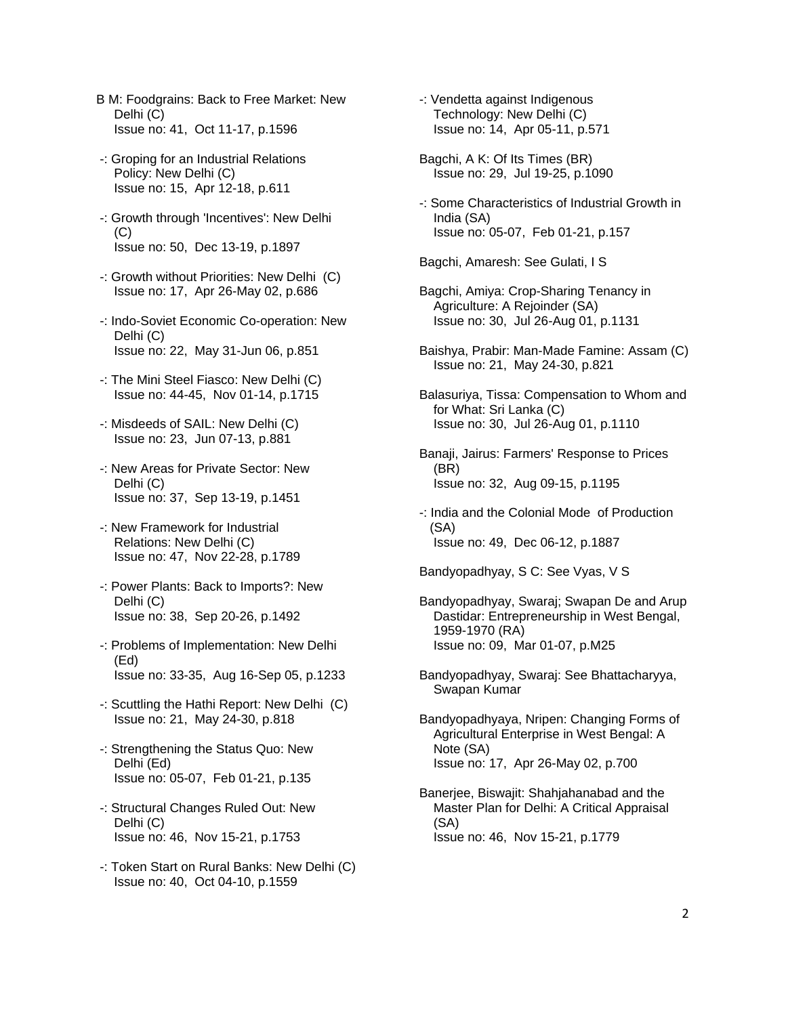- B M: Foodgrains: Back to Free Market: New Delhi (C) Issue no: 41, Oct 11-17, p.1596
- -: Groping for an Industrial Relations Policy: New Delhi (C) Issue no: 15, Apr 12-18, p.611
- -: Growth through 'Incentives': New Delhi  $(C)$ Issue no: 50, Dec 13-19, p.1897
- -: Growth without Priorities: New Delhi (C) Issue no: 17, Apr 26-May 02, p.686
- -: Indo-Soviet Economic Co-operation: New Delhi (C) Issue no: 22, May 31-Jun 06, p.851
- -: The Mini Steel Fiasco: New Delhi (C) Issue no: 44-45, Nov 01-14, p.1715
- -: Misdeeds of SAIL: New Delhi (C) Issue no: 23, Jun 07-13, p.881
- -: New Areas for Private Sector: New Delhi (C) Issue no: 37, Sep 13-19, p.1451
- -: New Framework for Industrial Relations: New Delhi (C) Issue no: 47, Nov 22-28, p.1789
- -: Power Plants: Back to Imports?: New Delhi (C) Issue no: 38, Sep 20-26, p.1492
- -: Problems of Implementation: New Delhi (Ed) Issue no: 33-35, Aug 16-Sep 05, p.1233
- -: Scuttling the Hathi Report: New Delhi (C) Issue no: 21, May 24-30, p.818
- -: Strengthening the Status Quo: New Delhi (Ed) Issue no: 05-07, Feb 01-21, p.135
- -: Structural Changes Ruled Out: New Delhi (C) Issue no: 46, Nov 15-21, p.1753
- -: Token Start on Rural Banks: New Delhi (C) Issue no: 40, Oct 04-10, p.1559
- -: Vendetta against Indigenous Technology: New Delhi (C) Issue no: 14, Apr 05-11, p.571
- Bagchi, A K: Of Its Times (BR) Issue no: 29, Jul 19-25, p.1090
- -: Some Characteristics of Industrial Growth in India (SA) Issue no: 05-07, Feb 01-21, p.157

Bagchi, Amaresh: See Gulati, I S

- Bagchi, Amiya: Crop-Sharing Tenancy in Agriculture: A Rejoinder (SA) Issue no: 30, Jul 26-Aug 01, p.1131
- Baishya, Prabir: Man-Made Famine: Assam (C) Issue no: 21, May 24-30, p.821
- Balasuriya, Tissa: Compensation to Whom and for What: Sri Lanka (C) Issue no: 30, Jul 26-Aug 01, p.1110
- Banaji, Jairus: Farmers' Response to Prices (BR) Issue no: 32, Aug 09-15, p.1195
- -: India and the Colonial Mode of Production (SA) Issue no: 49, Dec 06-12, p.1887

Bandyopadhyay, S C: See Vyas, V S

- Bandyopadhyay, Swaraj; Swapan De and Arup Dastidar: Entrepreneurship in West Bengal, 1959-1970 (RA) Issue no: 09, Mar 01-07, p.M25
- Bandyopadhyay, Swaraj: See Bhattacharyya, Swapan Kumar
- Bandyopadhyaya, Nripen: Changing Forms of Agricultural Enterprise in West Bengal: A Note (SA) Issue no: 17, Apr 26-May 02, p.700
- Banerjee, Biswajit: Shahjahanabad and the Master Plan for Delhi: A Critical Appraisal (SA) Issue no: 46, Nov 15-21, p.1779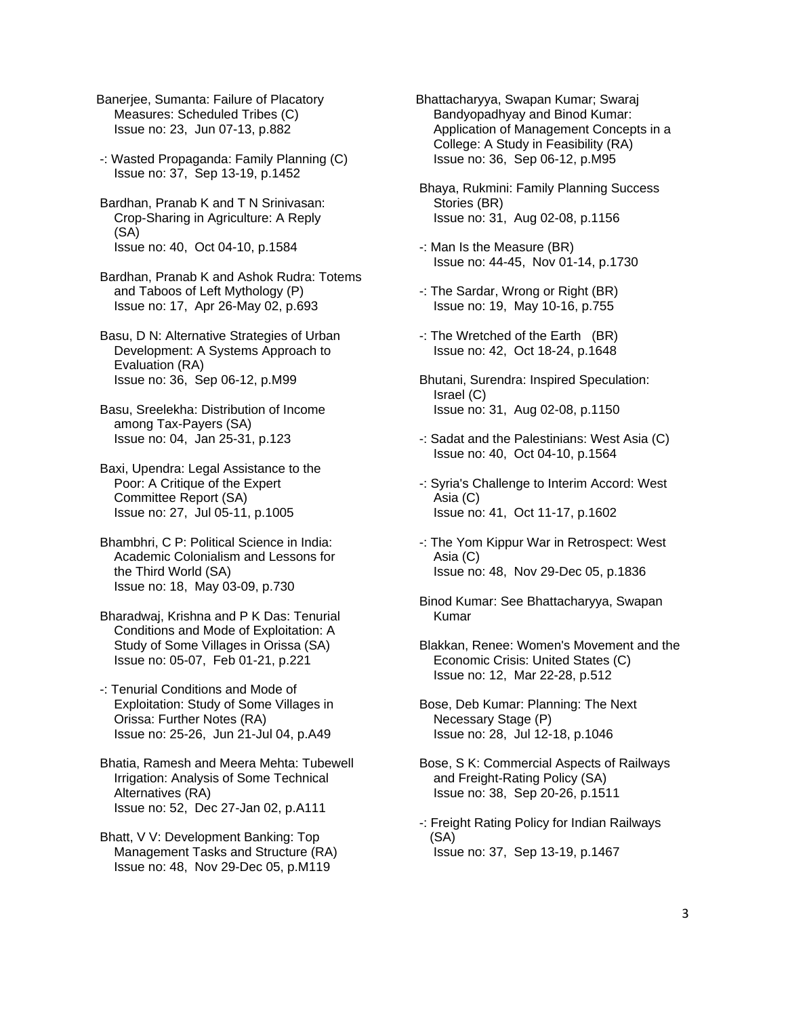Banerjee, Sumanta: Failure of Placatory Measures: Scheduled Tribes (C) Issue no: 23, Jun 07-13, p.882

 -: Wasted Propaganda: Family Planning (C) Issue no: 37, Sep 13-19, p.1452

 Bardhan, Pranab K and T N Srinivasan: Crop-Sharing in Agriculture: A Reply (SA) Issue no: 40, Oct 04-10, p.1584

 Bardhan, Pranab K and Ashok Rudra: Totems and Taboos of Left Mythology (P) Issue no: 17, Apr 26-May 02, p.693

 Basu, D N: Alternative Strategies of Urban Development: A Systems Approach to Evaluation (RA) Issue no: 36, Sep 06-12, p.M99

 Basu, Sreelekha: Distribution of Income among Tax-Payers (SA) Issue no: 04, Jan 25-31, p.123

 Baxi, Upendra: Legal Assistance to the Poor: A Critique of the Expert Committee Report (SA) Issue no: 27, Jul 05-11, p.1005

 Bhambhri, C P: Political Science in India: Academic Colonialism and Lessons for the Third World (SA) Issue no: 18, May 03-09, p.730

 Bharadwaj, Krishna and P K Das: Tenurial Conditions and Mode of Exploitation: A Study of Some Villages in Orissa (SA) Issue no: 05-07, Feb 01-21, p.221

-: Tenurial Conditions and Mode of Exploitation: Study of Some Villages in Orissa: Further Notes (RA) Issue no: 25-26, Jun 21-Jul 04, p.A49

 Bhatia, Ramesh and Meera Mehta: Tubewell Irrigation: Analysis of Some Technical Alternatives (RA) Issue no: 52, Dec 27-Jan 02, p.A111

 Bhatt, V V: Development Banking: Top Management Tasks and Structure (RA) Issue no: 48, Nov 29-Dec 05, p.M119

Bhattacharyya, Swapan Kumar; Swaraj Bandyopadhyay and Binod Kumar: Application of Management Concepts in a College: A Study in Feasibility (RA) Issue no: 36, Sep 06-12, p.M95

 Bhaya, Rukmini: Family Planning Success Stories (BR) Issue no: 31, Aug 02-08, p.1156

-: Man Is the Measure (BR) Issue no: 44-45, Nov 01-14, p.1730

 -: The Sardar, Wrong or Right (BR) Issue no: 19, May 10-16, p.755

 -: The Wretched of the Earth (BR) Issue no: 42, Oct 18-24, p.1648

 Bhutani, Surendra: Inspired Speculation: Israel (C) Issue no: 31, Aug 02-08, p.1150

-: Sadat and the Palestinians: West Asia (C) Issue no: 40, Oct 04-10, p.1564

 -: Syria's Challenge to Interim Accord: West Asia (C) Issue no: 41, Oct 11-17, p.1602

- -: The Yom Kippur War in Retrospect: West Asia (C) Issue no: 48, Nov 29-Dec 05, p.1836
- Binod Kumar: See Bhattacharyya, Swapan Kumar

 Blakkan, Renee: Women's Movement and the Economic Crisis: United States (C) Issue no: 12, Mar 22-28, p.512

 Bose, Deb Kumar: Planning: The Next Necessary Stage (P) Issue no: 28, Jul 12-18, p.1046

 Bose, S K: Commercial Aspects of Railways and Freight-Rating Policy (SA) Issue no: 38, Sep 20-26, p.1511

-: Freight Rating Policy for Indian Railways (SA) Issue no: 37, Sep 13-19, p.1467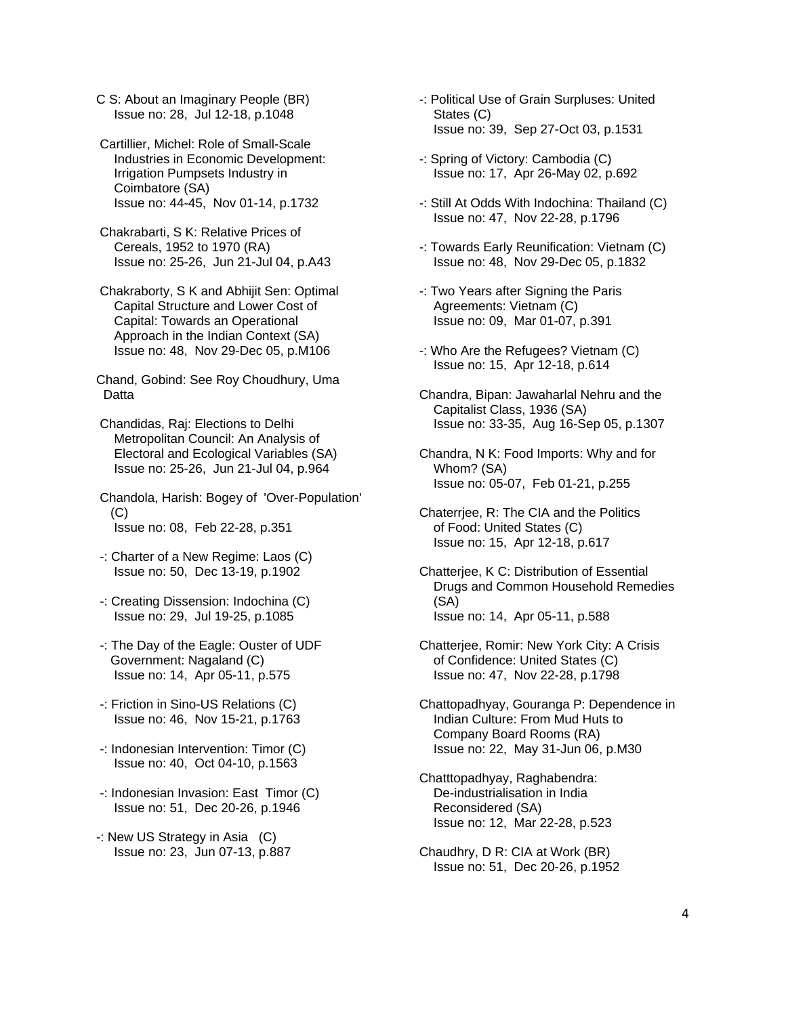- C S: About an Imaginary People (BR) Issue no: 28, Jul 12-18, p.1048
- Cartillier, Michel: Role of Small-Scale Industries in Economic Development: Irrigation Pumpsets Industry in Coimbatore (SA) Issue no: 44-45, Nov 01-14, p.1732
- Chakrabarti, S K: Relative Prices of Cereals, 1952 to 1970 (RA) Issue no: 25-26, Jun 21-Jul 04, p.A43
- Chakraborty, S K and Abhijit Sen: Optimal Capital Structure and Lower Cost of Capital: Towards an Operational Approach in the Indian Context (SA) Issue no: 48, Nov 29-Dec 05, p.M106

Chand, Gobind: See Roy Choudhury, Uma Datta

- Chandidas, Raj: Elections to Delhi Metropolitan Council: An Analysis of Electoral and Ecological Variables (SA) Issue no: 25-26, Jun 21-Jul 04, p.964
- Chandola, Harish: Bogey of 'Over-Population' (C) Issue no: 08, Feb 22-28, p.351
- -: Charter of a New Regime: Laos (C) Issue no: 50, Dec 13-19, p.1902
- -: Creating Dissension: Indochina (C) Issue no: 29, Jul 19-25, p.1085
- -: The Day of the Eagle: Ouster of UDF Government: Nagaland (C) Issue no: 14, Apr 05-11, p.575
- -: Friction in Sino-US Relations (C) Issue no: 46, Nov 15-21, p.1763
- -: Indonesian Intervention: Timor (C) Issue no: 40, Oct 04-10, p.1563
- -: Indonesian Invasion: East Timor (C) Issue no: 51, Dec 20-26, p.1946
- -: New US Strategy in Asia (C) Issue no: 23, Jun 07-13, p.887
- -: Political Use of Grain Surpluses: United States (C) Issue no: 39, Sep 27-Oct 03, p.1531
- -: Spring of Victory: Cambodia (C) Issue no: 17, Apr 26-May 02, p.692
- -: Still At Odds With Indochina: Thailand (C) Issue no: 47, Nov 22-28, p.1796
- -: Towards Early Reunification: Vietnam (C) Issue no: 48, Nov 29-Dec 05, p.1832
- -: Two Years after Signing the Paris Agreements: Vietnam (C) Issue no: 09, Mar 01-07, p.391
- -: Who Are the Refugees? Vietnam (C) Issue no: 15, Apr 12-18, p.614
- Chandra, Bipan: Jawaharlal Nehru and the Capitalist Class, 1936 (SA) Issue no: 33-35, Aug 16-Sep 05, p.1307
- Chandra, N K: Food Imports: Why and for Whom? (SA) Issue no: 05-07, Feb 01-21, p.255
- Chaterrjee, R: The CIA and the Politics of Food: United States (C) Issue no: 15, Apr 12-18, p.617
- Chatterjee, K C: Distribution of Essential Drugs and Common Household Remedies (SA) Issue no: 14, Apr 05-11, p.588
- Chatterjee, Romir: New York City: A Crisis of Confidence: United States (C) Issue no: 47, Nov 22-28, p.1798
- Chattopadhyay, Gouranga P: Dependence in Indian Culture: From Mud Huts to Company Board Rooms (RA) Issue no: 22, May 31-Jun 06, p.M30
- Chatttopadhyay, Raghabendra: De-industrialisation in India Reconsidered (SA) Issue no: 12, Mar 22-28, p.523
- Chaudhry, D R: CIA at Work (BR) Issue no: 51, Dec 20-26, p.1952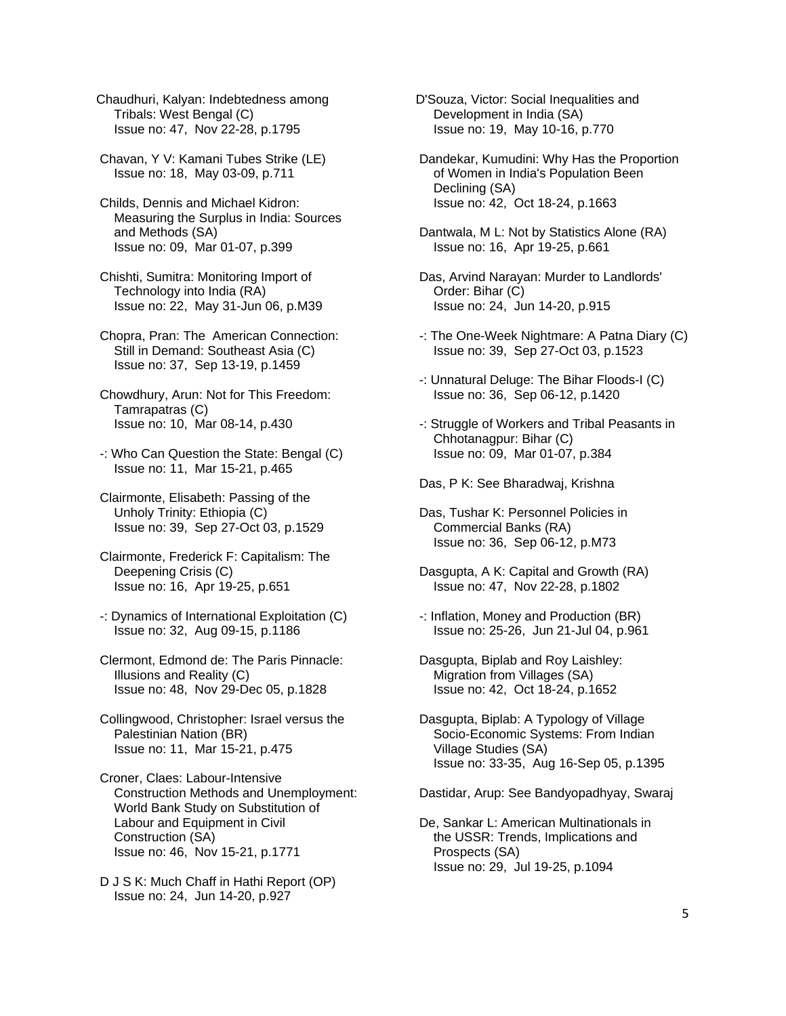Chaudhuri, Kalyan: Indebtedness among Tribals: West Bengal (C) Issue no: 47, Nov 22-28, p.1795

 Chavan, Y V: Kamani Tubes Strike (LE) Issue no: 18, May 03-09, p.711

 Childs, Dennis and Michael Kidron: Measuring the Surplus in India: Sources and Methods (SA) Issue no: 09, Mar 01-07, p.399

 Chishti, Sumitra: Monitoring Import of Technology into India (RA) Issue no: 22, May 31-Jun 06, p.M39

 Chopra, Pran: The American Connection: Still in Demand: Southeast Asia (C) Issue no: 37, Sep 13-19, p.1459

 Chowdhury, Arun: Not for This Freedom: Tamrapatras (C) Issue no: 10, Mar 08-14, p.430

 -: Who Can Question the State: Bengal (C) Issue no: 11, Mar 15-21, p.465

 Clairmonte, Elisabeth: Passing of the Unholy Trinity: Ethiopia (C) Issue no: 39, Sep 27-Oct 03, p.1529

 Clairmonte, Frederick F: Capitalism: The Deepening Crisis (C) Issue no: 16, Apr 19-25, p.651

 -: Dynamics of International Exploitation (C) Issue no: 32, Aug 09-15, p.1186

 Clermont, Edmond de: The Paris Pinnacle: Illusions and Reality (C) Issue no: 48, Nov 29-Dec 05, p.1828

 Collingwood, Christopher: Israel versus the Palestinian Nation (BR) Issue no: 11, Mar 15-21, p.475

 Croner, Claes: Labour-Intensive Construction Methods and Unemployment: World Bank Study on Substitution of Labour and Equipment in Civil Construction (SA) Issue no: 46, Nov 15-21, p.1771

 D J S K: Much Chaff in Hathi Report (OP) Issue no: 24, Jun 14-20, p.927

D'Souza, Victor: Social Inequalities and Development in India (SA) Issue no: 19, May 10-16, p.770

 Dandekar, Kumudini: Why Has the Proportion of Women in India's Population Been Declining (SA) Issue no: 42, Oct 18-24, p.1663

 Dantwala, M L: Not by Statistics Alone (RA) Issue no: 16, Apr 19-25, p.661

 Das, Arvind Narayan: Murder to Landlords' Order: Bihar (C) Issue no: 24, Jun 14-20, p.915

- -: The One-Week Nightmare: A Patna Diary (C) Issue no: 39, Sep 27-Oct 03, p.1523
- -: Unnatural Deluge: The Bihar Floods-I (C) Issue no: 36, Sep 06-12, p.1420
- -: Struggle of Workers and Tribal Peasants in Chhotanagpur: Bihar (C) Issue no: 09, Mar 01-07, p.384

Das, P K: See Bharadwaj, Krishna

 Das, Tushar K: Personnel Policies in Commercial Banks (RA) Issue no: 36, Sep 06-12, p.M73

- Dasgupta, A K: Capital and Growth (RA) Issue no: 47, Nov 22-28, p.1802
- -: Inflation, Money and Production (BR) Issue no: 25-26, Jun 21-Jul 04, p.961

 Dasgupta, Biplab and Roy Laishley: Migration from Villages (SA) Issue no: 42, Oct 18-24, p.1652

 Dasgupta, Biplab: A Typology of Village Socio-Economic Systems: From Indian Village Studies (SA) Issue no: 33-35, Aug 16-Sep 05, p.1395

Dastidar, Arup: See Bandyopadhyay, Swaraj

 De, Sankar L: American Multinationals in the USSR: Trends, Implications and Prospects (SA) Issue no: 29, Jul 19-25, p.1094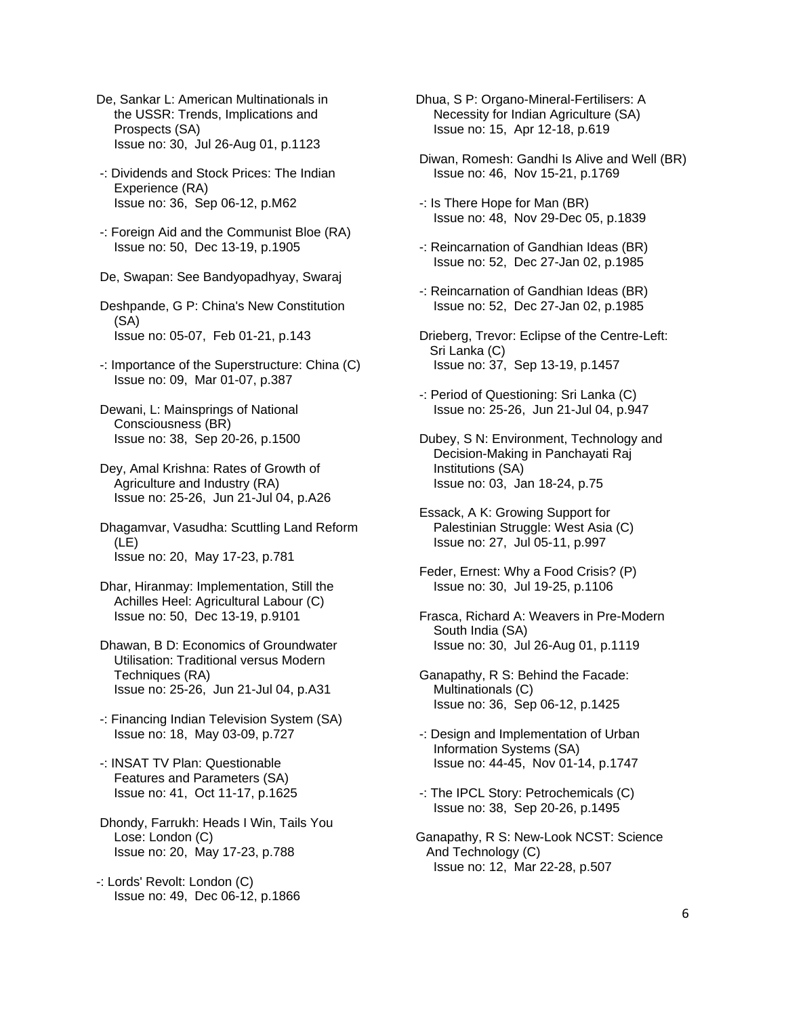- De, Sankar L: American Multinationals in the USSR: Trends, Implications and Prospects (SA) Issue no: 30, Jul 26-Aug 01, p.1123
- -: Dividends and Stock Prices: The Indian Experience (RA) Issue no: 36, Sep 06-12, p.M62
- -: Foreign Aid and the Communist Bloe (RA) Issue no: 50, Dec 13-19, p.1905
- De, Swapan: See Bandyopadhyay, Swaraj
- Deshpande, G P: China's New Constitution (SA) Issue no: 05-07, Feb 01-21, p.143
- -: Importance of the Superstructure: China (C) Issue no: 09, Mar 01-07, p.387
- Dewani, L: Mainsprings of National Consciousness (BR) Issue no: 38, Sep 20-26, p.1500
- Dey, Amal Krishna: Rates of Growth of Agriculture and Industry (RA) Issue no: 25-26, Jun 21-Jul 04, p.A26
- Dhagamvar, Vasudha: Scuttling Land Reform (LE) Issue no: 20, May 17-23, p.781
- Dhar, Hiranmay: Implementation, Still the Achilles Heel: Agricultural Labour (C) Issue no: 50, Dec 13-19, p.9101
- Dhawan, B D: Economics of Groundwater Utilisation: Traditional versus Modern Techniques (RA) Issue no: 25-26, Jun 21-Jul 04, p.A31
- -: Financing Indian Television System (SA) Issue no: 18, May 03-09, p.727
- -: INSAT TV Plan: Questionable Features and Parameters (SA) Issue no: 41, Oct 11-17, p.1625
- Dhondy, Farrukh: Heads I Win, Tails You Lose: London (C) Issue no: 20, May 17-23, p.788
- -: Lords' Revolt: London (C) Issue no: 49, Dec 06-12, p.1866
- Dhua, S P: Organo-Mineral-Fertilisers: A Necessity for Indian Agriculture (SA) Issue no: 15, Apr 12-18, p.619
- Diwan, Romesh: Gandhi Is Alive and Well (BR) Issue no: 46, Nov 15-21, p.1769
- -: Is There Hope for Man (BR) Issue no: 48, Nov 29-Dec 05, p.1839
- -: Reincarnation of Gandhian Ideas (BR) Issue no: 52, Dec 27-Jan 02, p.1985
- -: Reincarnation of Gandhian Ideas (BR) Issue no: 52, Dec 27-Jan 02, p.1985
- Drieberg, Trevor: Eclipse of the Centre-Left: Sri Lanka (C) Issue no: 37, Sep 13-19, p.1457
- -: Period of Questioning: Sri Lanka (C) Issue no: 25-26, Jun 21-Jul 04, p.947
- Dubey, S N: Environment, Technology and Decision-Making in Panchayati Raj Institutions (SA) Issue no: 03, Jan 18-24, p.75
- Essack, A K: Growing Support for Palestinian Struggle: West Asia (C) Issue no: 27, Jul 05-11, p.997
- Feder, Ernest: Why a Food Crisis? (P) Issue no: 30, Jul 19-25, p.1106
- Frasca, Richard A: Weavers in Pre-Modern South India (SA) Issue no: 30, Jul 26-Aug 01, p.1119
- Ganapathy, R S: Behind the Facade: Multinationals (C) Issue no: 36, Sep 06-12, p.1425
- -: Design and Implementation of Urban Information Systems (SA) Issue no: 44-45, Nov 01-14, p.1747
- -: The IPCL Story: Petrochemicals (C) Issue no: 38, Sep 20-26, p.1495
- Ganapathy, R S: New-Look NCST: Science And Technology (C) Issue no: 12, Mar 22-28, p.507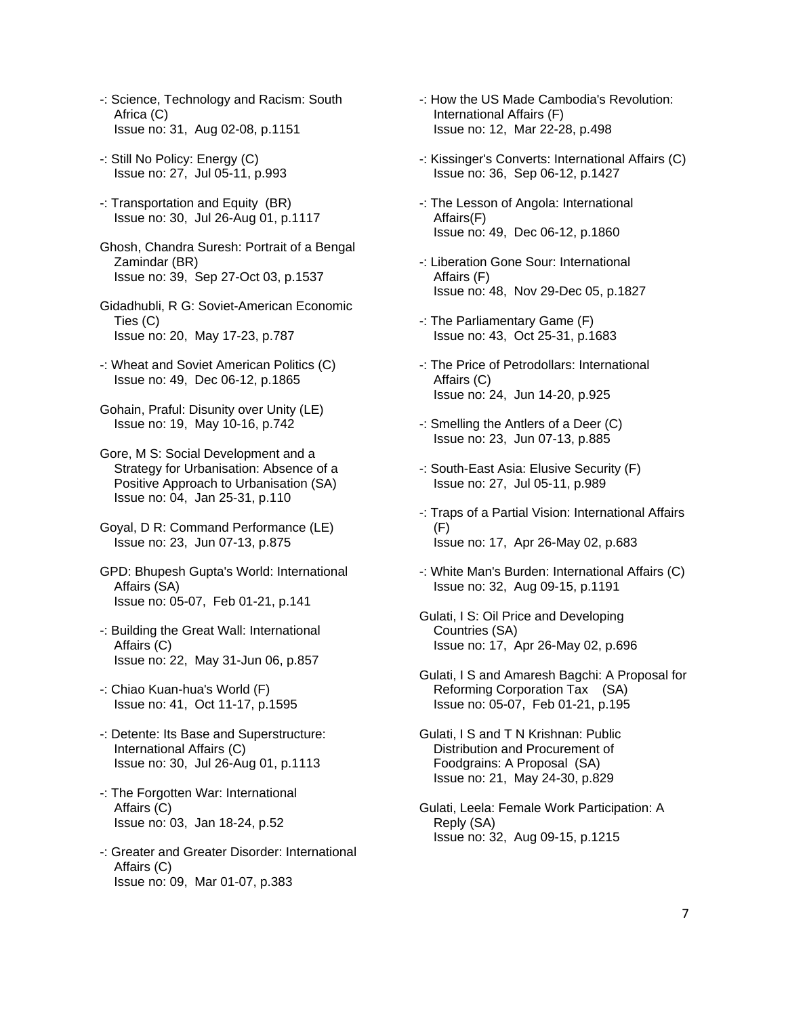- -: Science, Technology and Racism: South Africa (C) Issue no: 31, Aug 02-08, p.1151
- -: Still No Policy: Energy (C) Issue no: 27, Jul 05-11, p.993
- -: Transportation and Equity (BR) Issue no: 30, Jul 26-Aug 01, p.1117
- Ghosh, Chandra Suresh: Portrait of a Bengal Zamindar (BR) Issue no: 39, Sep 27-Oct 03, p.1537
- Gidadhubli, R G: Soviet-American Economic Ties (C) Issue no: 20, May 17-23, p.787
- -: Wheat and Soviet American Politics (C) Issue no: 49, Dec 06-12, p.1865
- Gohain, Praful: Disunity over Unity (LE) Issue no: 19, May 10-16, p.742
- Gore, M S: Social Development and a Strategy for Urbanisation: Absence of a Positive Approach to Urbanisation (SA) Issue no: 04, Jan 25-31, p.110
- Goyal, D R: Command Performance (LE) Issue no: 23, Jun 07-13, p.875
- GPD: Bhupesh Gupta's World: International Affairs (SA) Issue no: 05-07, Feb 01-21, p.141
- -: Building the Great Wall: International Affairs (C) Issue no: 22, May 31-Jun 06, p.857
- -: Chiao Kuan-hua's World (F) Issue no: 41, Oct 11-17, p.1595
- -: Detente: Its Base and Superstructure: International Affairs (C) Issue no: 30, Jul 26-Aug 01, p.1113
- -: The Forgotten War: International Affairs (C) Issue no: 03, Jan 18-24, p.52
- -: Greater and Greater Disorder: International Affairs (C) Issue no: 09, Mar 01-07, p.383
- -: How the US Made Cambodia's Revolution: International Affairs (F) Issue no: 12, Mar 22-28, p.498
- -: Kissinger's Converts: International Affairs (C) Issue no: 36, Sep 06-12, p.1427
- -: The Lesson of Angola: International Affairs(F) Issue no: 49, Dec 06-12, p.1860
- -: Liberation Gone Sour: International Affairs (F) Issue no: 48, Nov 29-Dec 05, p.1827
- -: The Parliamentary Game (F) Issue no: 43, Oct 25-31, p.1683
- -: The Price of Petrodollars: International Affairs (C) Issue no: 24, Jun 14-20, p.925
- -: Smelling the Antlers of a Deer (C) Issue no: 23, Jun 07-13, p.885
- -: South-East Asia: Elusive Security (F) Issue no: 27, Jul 05-11, p.989
- -: Traps of a Partial Vision: International Affairs (F) Issue no: 17, Apr 26-May 02, p.683
- -: White Man's Burden: International Affairs (C) Issue no: 32, Aug 09-15, p.1191
- Gulati, I S: Oil Price and Developing Countries (SA) Issue no: 17, Apr 26-May 02, p.696
- Gulati, I S and Amaresh Bagchi: A Proposal for Reforming Corporation Tax (SA) Issue no: 05-07, Feb 01-21, p.195
- Gulati, I S and T N Krishnan: Public Distribution and Procurement of Foodgrains: A Proposal (SA) Issue no: 21, May 24-30, p.829
- Gulati, Leela: Female Work Participation: A Reply (SA) Issue no: 32, Aug 09-15, p.1215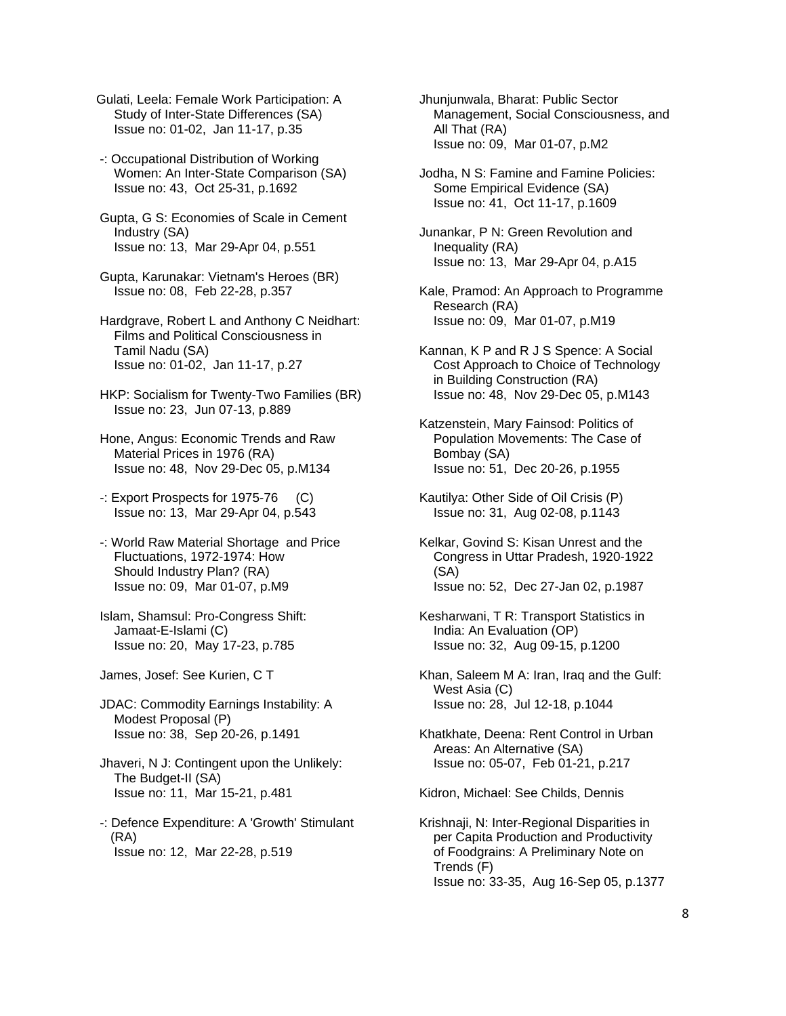Gulati, Leela: Female Work Participation: A Study of Inter-State Differences (SA) Issue no: 01-02, Jan 11-17, p.35

 -: Occupational Distribution of Working Women: An Inter-State Comparison (SA) Issue no: 43, Oct 25-31, p.1692

 Gupta, G S: Economies of Scale in Cement Industry (SA) Issue no: 13, Mar 29-Apr 04, p.551

 Gupta, Karunakar: Vietnam's Heroes (BR) Issue no: 08, Feb 22-28, p.357

 Hardgrave, Robert L and Anthony C Neidhart: Films and Political Consciousness in Tamil Nadu (SA) Issue no: 01-02, Jan 11-17, p.27

 HKP: Socialism for Twenty-Two Families (BR) Issue no: 23, Jun 07-13, p.889

 Hone, Angus: Economic Trends and Raw Material Prices in 1976 (RA) Issue no: 48, Nov 29-Dec 05, p.M134

-: Export Prospects for 1975-76 (C) Issue no: 13, Mar 29-Apr 04, p.543

 -: World Raw Material Shortage and Price Fluctuations, 1972-1974: How Should Industry Plan? (RA) Issue no: 09, Mar 01-07, p.M9

 Islam, Shamsul: Pro-Congress Shift: Jamaat-E-Islami (C) Issue no: 20, May 17-23, p.785

James, Josef: See Kurien, C T

 JDAC: Commodity Earnings Instability: A Modest Proposal (P) Issue no: 38, Sep 20-26, p.1491

 Jhaveri, N J: Contingent upon the Unlikely: The Budget-II (SA) Issue no: 11, Mar 15-21, p.481

 -: Defence Expenditure: A 'Growth' Stimulant (RA) Issue no: 12, Mar 22-28, p.519

 Jhunjunwala, Bharat: Public Sector Management, Social Consciousness, and All That (RA) Issue no: 09, Mar 01-07, p.M2

 Jodha, N S: Famine and Famine Policies: Some Empirical Evidence (SA) Issue no: 41, Oct 11-17, p.1609

 Junankar, P N: Green Revolution and Inequality (RA) Issue no: 13, Mar 29-Apr 04, p.A15

 Kale, Pramod: An Approach to Programme Research (RA) Issue no: 09, Mar 01-07, p.M19

 Kannan, K P and R J S Spence: A Social Cost Approach to Choice of Technology in Building Construction (RA) Issue no: 48, Nov 29-Dec 05, p.M143

 Katzenstein, Mary Fainsod: Politics of Population Movements: The Case of Bombay (SA) Issue no: 51, Dec 20-26, p.1955

 Kautilya: Other Side of Oil Crisis (P) Issue no: 31, Aug 02-08, p.1143

 Kelkar, Govind S: Kisan Unrest and the Congress in Uttar Pradesh, 1920-1922 (SA) Issue no: 52, Dec 27-Jan 02, p.1987

 Kesharwani, T R: Transport Statistics in India: An Evaluation (OP) Issue no: 32, Aug 09-15, p.1200

 Khan, Saleem M A: Iran, Iraq and the Gulf: West Asia (C) Issue no: 28, Jul 12-18, p.1044

 Khatkhate, Deena: Rent Control in Urban Areas: An Alternative (SA) Issue no: 05-07, Feb 01-21, p.217

Kidron, Michael: See Childs, Dennis

 Krishnaji, N: Inter-Regional Disparities in per Capita Production and Productivity of Foodgrains: A Preliminary Note on Trends (F) Issue no: 33-35, Aug 16-Sep 05, p.1377

8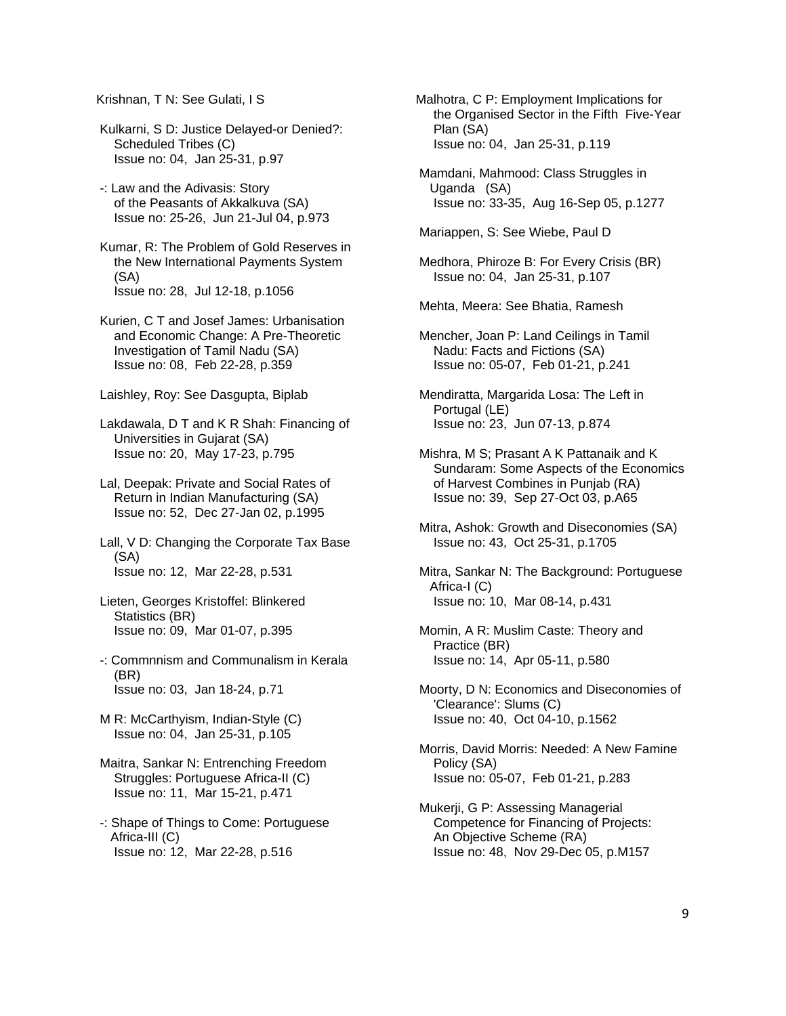Krishnan, T N: See Gulati, I S

 Kulkarni, S D: Justice Delayed-or Denied?: Scheduled Tribes (C) Issue no: 04, Jan 25-31, p.97

 -: Law and the Adivasis: Story of the Peasants of Akkalkuva (SA) Issue no: 25-26, Jun 21-Jul 04, p.973

 Kumar, R: The Problem of Gold Reserves in the New International Payments System (SA) Issue no: 28, Jul 12-18, p.1056

 Kurien, C T and Josef James: Urbanisation and Economic Change: A Pre-Theoretic Investigation of Tamil Nadu (SA) Issue no: 08, Feb 22-28, p.359

Laishley, Roy: See Dasgupta, Biplab

 Lakdawala, D T and K R Shah: Financing of Universities in Gujarat (SA) Issue no: 20, May 17-23, p.795

 Lal, Deepak: Private and Social Rates of Return in Indian Manufacturing (SA) Issue no: 52, Dec 27-Jan 02, p.1995

 Lall, V D: Changing the Corporate Tax Base (SA) Issue no: 12, Mar 22-28, p.531

 Lieten, Georges Kristoffel: Blinkered Statistics (BR) Issue no: 09, Mar 01-07, p.395

 -: Commnnism and Communalism in Kerala (BR) Issue no: 03, Jan 18-24, p.71

 M R: McCarthyism, Indian-Style (C) Issue no: 04, Jan 25-31, p.105

 Maitra, Sankar N: Entrenching Freedom Struggles: Portuguese Africa-II (C) Issue no: 11, Mar 15-21, p.471

 -: Shape of Things to Come: Portuguese Africa-III (C) Issue no: 12, Mar 22-28, p.516

Malhotra, C P: Employment Implications for the Organised Sector in the Fifth Five-Year Plan (SA) Issue no: 04, Jan 25-31, p.119

 Mamdani, Mahmood: Class Struggles in Uganda (SA) Issue no: 33-35, Aug 16-Sep 05, p.1277

Mariappen, S: See Wiebe, Paul D

 Medhora, Phiroze B: For Every Crisis (BR) Issue no: 04, Jan 25-31, p.107

Mehta, Meera: See Bhatia, Ramesh

 Mencher, Joan P: Land Ceilings in Tamil Nadu: Facts and Fictions (SA) Issue no: 05-07, Feb 01-21, p.241

 Mendiratta, Margarida Losa: The Left in Portugal (LE) Issue no: 23, Jun 07-13, p.874

 Mishra, M S; Prasant A K Pattanaik and K Sundaram: Some Aspects of the Economics of Harvest Combines in Punjab (RA) Issue no: 39, Sep 27-Oct 03, p.A65

 Mitra, Ashok: Growth and Diseconomies (SA) Issue no: 43, Oct 25-31, p.1705

 Mitra, Sankar N: The Background: Portuguese Africa-I (C) Issue no: 10, Mar 08-14, p.431

 Momin, A R: Muslim Caste: Theory and Practice (BR) Issue no: 14, Apr 05-11, p.580

 Moorty, D N: Economics and Diseconomies of 'Clearance': Slums (C) Issue no: 40, Oct 04-10, p.1562

 Morris, David Morris: Needed: A New Famine Policy (SA) Issue no: 05-07, Feb 01-21, p.283

 Mukerji, G P: Assessing Managerial Competence for Financing of Projects: An Objective Scheme (RA) Issue no: 48, Nov 29-Dec 05, p.M157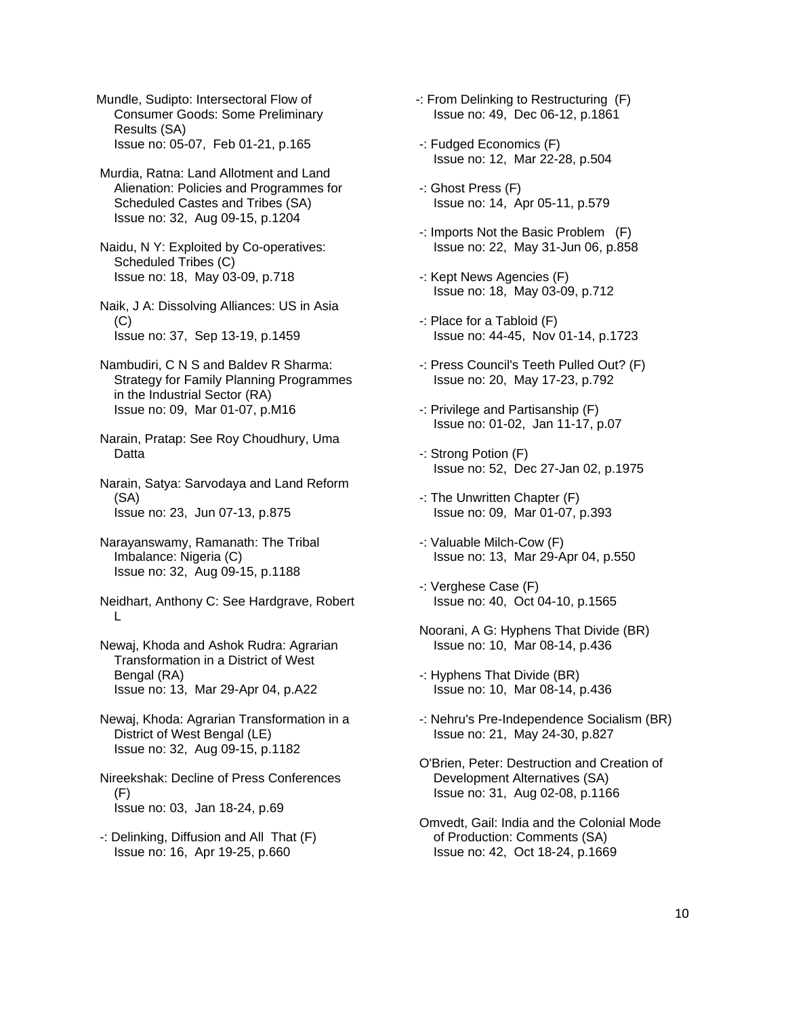Mundle, Sudipto: Intersectoral Flow of Consumer Goods: Some Preliminary Results (SA) Issue no: 05-07, Feb 01-21, p.165

 Murdia, Ratna: Land Allotment and Land Alienation: Policies and Programmes for Scheduled Castes and Tribes (SA) Issue no: 32, Aug 09-15, p.1204

 Naidu, N Y: Exploited by Co-operatives: Scheduled Tribes (C) Issue no: 18, May 03-09, p.718

 Naik, J A: Dissolving Alliances: US in Asia  $(C)$ Issue no: 37, Sep 13-19, p.1459

- Nambudiri, C N S and Baldev R Sharma: Strategy for Family Planning Programmes in the Industrial Sector (RA) Issue no: 09, Mar 01-07, p.M16
- Narain, Pratap: See Roy Choudhury, Uma **Datta**

 Narain, Satya: Sarvodaya and Land Reform (SA) Issue no: 23, Jun 07-13, p.875

- Narayanswamy, Ramanath: The Tribal Imbalance: Nigeria (C) Issue no: 32, Aug 09-15, p.1188
- Neidhart, Anthony C: See Hardgrave, Robert L
- Newaj, Khoda and Ashok Rudra: Agrarian Transformation in a District of West Bengal (RA) Issue no: 13, Mar 29-Apr 04, p.A22

 Newaj, Khoda: Agrarian Transformation in a District of West Bengal (LE) Issue no: 32, Aug 09-15, p.1182

 Nireekshak: Decline of Press Conferences (F) Issue no: 03, Jan 18-24, p.69

-: Delinking, Diffusion and All That (F) Issue no: 16, Apr 19-25, p.660

- -: From Delinking to Restructuring (F) Issue no: 49, Dec 06-12, p.1861
- -: Fudged Economics (F) Issue no: 12, Mar 22-28, p.504
- -: Ghost Press (F) Issue no: 14, Apr 05-11, p.579
- -: Imports Not the Basic Problem (F) Issue no: 22, May 31-Jun 06, p.858
- -: Kept News Agencies (F) Issue no: 18, May 03-09, p.712
- -: Place for a Tabloid (F) Issue no: 44-45, Nov 01-14, p.1723
- -: Press Council's Teeth Pulled Out? (F) Issue no: 20, May 17-23, p.792
- -: Privilege and Partisanship (F) Issue no: 01-02, Jan 11-17, p.07
- -: Strong Potion (F) Issue no: 52, Dec 27-Jan 02, p.1975
- -: The Unwritten Chapter (F) Issue no: 09, Mar 01-07, p.393
- -: Valuable Milch-Cow (F) Issue no: 13, Mar 29-Apr 04, p.550
- -: Verghese Case (F) Issue no: 40, Oct 04-10, p.1565
- Noorani, A G: Hyphens That Divide (BR) Issue no: 10, Mar 08-14, p.436
- -: Hyphens That Divide (BR) Issue no: 10, Mar 08-14, p.436
- -: Nehru's Pre-Independence Socialism (BR) Issue no: 21, May 24-30, p.827
- O'Brien, Peter: Destruction and Creation of Development Alternatives (SA) Issue no: 31, Aug 02-08, p.1166
- Omvedt, Gail: India and the Colonial Mode of Production: Comments (SA) Issue no: 42, Oct 18-24, p.1669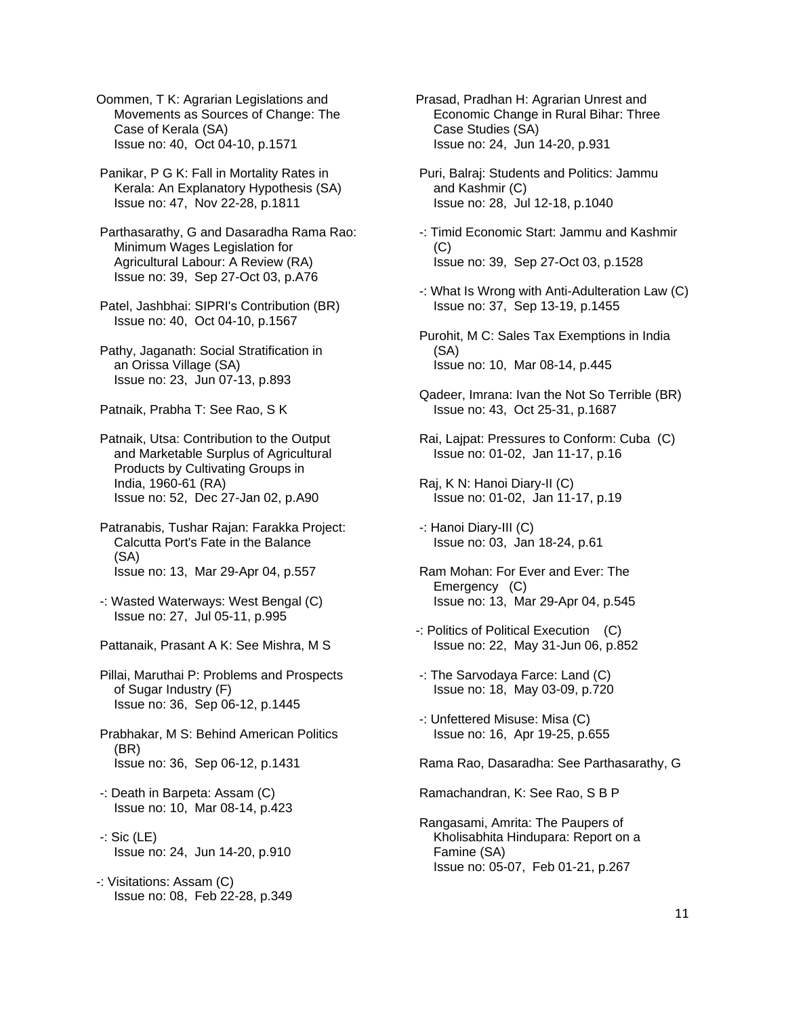Oommen, T K: Agrarian Legislations and Movements as Sources of Change: The Case of Kerala (SA) Issue no: 40, Oct 04-10, p.1571

 Panikar, P G K: Fall in Mortality Rates in Kerala: An Explanatory Hypothesis (SA) Issue no: 47, Nov 22-28, p.1811

 Parthasarathy, G and Dasaradha Rama Rao: Minimum Wages Legislation for Agricultural Labour: A Review (RA) Issue no: 39, Sep 27-Oct 03, p.A76

 Patel, Jashbhai: SIPRI's Contribution (BR) Issue no: 40, Oct 04-10, p.1567

 Pathy, Jaganath: Social Stratification in an Orissa Village (SA) Issue no: 23, Jun 07-13, p.893

Patnaik, Prabha T: See Rao, S K

 Patnaik, Utsa: Contribution to the Output and Marketable Surplus of Agricultural Products by Cultivating Groups in India, 1960-61 (RA) Issue no: 52, Dec 27-Jan 02, p.A90

 Patranabis, Tushar Rajan: Farakka Project: Calcutta Port's Fate in the Balance (SA) Issue no: 13, Mar 29-Apr 04, p.557

 -: Wasted Waterways: West Bengal (C) Issue no: 27, Jul 05-11, p.995

Pattanaik, Prasant A K: See Mishra, M S

 Pillai, Maruthai P: Problems and Prospects of Sugar Industry (F) Issue no: 36, Sep 06-12, p.1445

 Prabhakar, M S: Behind American Politics (BR) Issue no: 36, Sep 06-12, p.1431

- -: Death in Barpeta: Assam (C) Issue no: 10, Mar 08-14, p.423
- -: Sic (LE) Issue no: 24, Jun 14-20, p.910

-: Visitations: Assam (C) Issue no: 08, Feb 22-28, p.349 Prasad, Pradhan H: Agrarian Unrest and Economic Change in Rural Bihar: Three Case Studies (SA) Issue no: 24, Jun 14-20, p.931

 Puri, Balraj: Students and Politics: Jammu and Kashmir (C) Issue no: 28, Jul 12-18, p.1040

 -: Timid Economic Start: Jammu and Kashmir (C) Issue no: 39, Sep 27-Oct 03, p.1528

- -: What Is Wrong with Anti-Adulteration Law (C) Issue no: 37, Sep 13-19, p.1455
- Purohit, M C: Sales Tax Exemptions in India (SA) Issue no: 10, Mar 08-14, p.445
- Qadeer, Imrana: Ivan the Not So Terrible (BR) Issue no: 43, Oct 25-31, p.1687
- Rai, Lajpat: Pressures to Conform: Cuba (C) Issue no: 01-02, Jan 11-17, p.16
- Raj, K N: Hanoi Diary-II (C) Issue no: 01-02, Jan 11-17, p.19
- -: Hanoi Diary-III (C) Issue no: 03, Jan 18-24, p.61
- Ram Mohan: For Ever and Ever: The Emergency (C) Issue no: 13, Mar 29-Apr 04, p.545
- -: Politics of Political Execution (C) Issue no: 22, May 31-Jun 06, p.852
- -: The Sarvodaya Farce: Land (C) Issue no: 18, May 03-09, p.720
- -: Unfettered Misuse: Misa (C) Issue no: 16, Apr 19-25, p.655

Rama Rao, Dasaradha: See Parthasarathy, G

Ramachandran, K: See Rao, S B P

 Rangasami, Amrita: The Paupers of Kholisabhita Hindupara: Report on a Famine (SA) Issue no: 05-07, Feb 01-21, p.267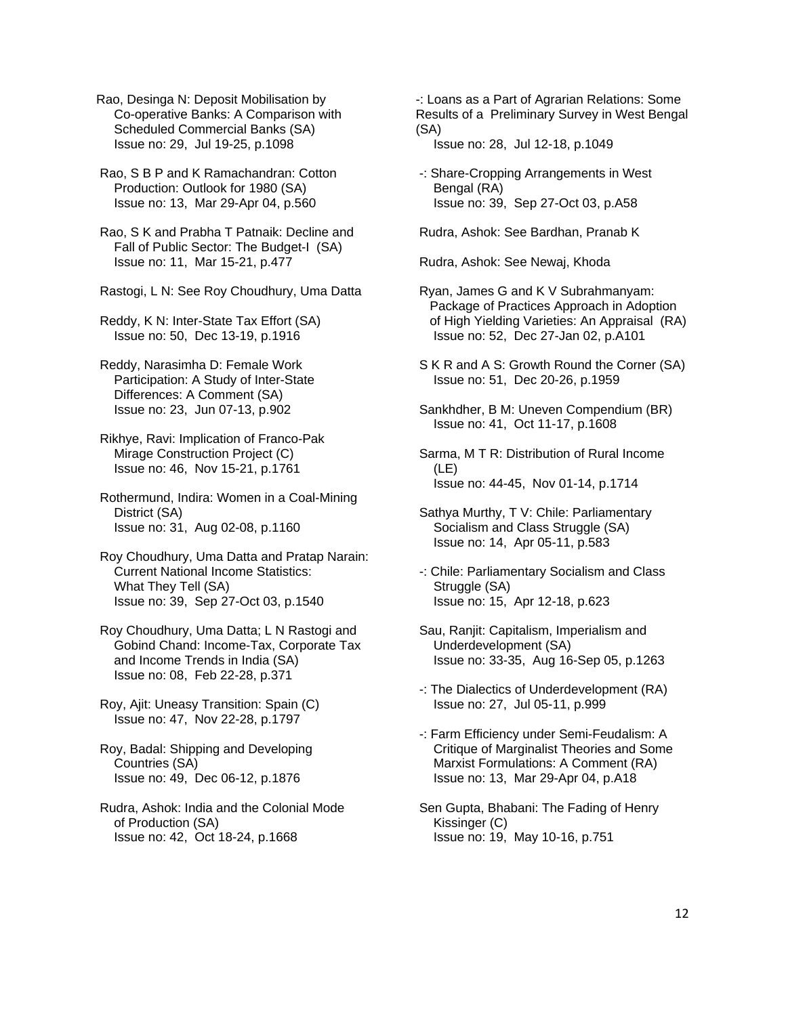Rao, Desinga N: Deposit Mobilisation by Co-operative Banks: A Comparison with Scheduled Commercial Banks (SA) Issue no: 29, Jul 19-25, p.1098

 Rao, S B P and K Ramachandran: Cotton Production: Outlook for 1980 (SA) Issue no: 13, Mar 29-Apr 04, p.560

 Rao, S K and Prabha T Patnaik: Decline and Fall of Public Sector: The Budget-I (SA) Issue no: 11, Mar 15-21, p.477

Rastogi, L N: See Roy Choudhury, Uma Datta

 Reddy, K N: Inter-State Tax Effort (SA) Issue no: 50, Dec 13-19, p.1916

 Reddy, Narasimha D: Female Work Participation: A Study of Inter-State Differences: A Comment (SA) Issue no: 23, Jun 07-13, p.902

 Rikhye, Ravi: Implication of Franco-Pak Mirage Construction Project (C) Issue no: 46, Nov 15-21, p.1761

 Rothermund, Indira: Women in a Coal-Mining District (SA) Issue no: 31, Aug 02-08, p.1160

 Roy Choudhury, Uma Datta and Pratap Narain: Current National Income Statistics: What They Tell (SA) Issue no: 39, Sep 27-Oct 03, p.1540

 Roy Choudhury, Uma Datta; L N Rastogi and Gobind Chand: Income-Tax, Corporate Tax and Income Trends in India (SA) Issue no: 08, Feb 22-28, p.371

 Roy, Ajit: Uneasy Transition: Spain (C) Issue no: 47, Nov 22-28, p.1797

 Roy, Badal: Shipping and Developing Countries (SA) Issue no: 49, Dec 06-12, p.1876

 Rudra, Ashok: India and the Colonial Mode of Production (SA) Issue no: 42, Oct 18-24, p.1668

-: Loans as a Part of Agrarian Relations: Some Results of a Preliminary Survey in West Bengal (SA)

Issue no: 28, Jul 12-18, p.1049

-: Share-Cropping Arrangements in West Bengal (RA) Issue no: 39, Sep 27-Oct 03, p.A58

Rudra, Ashok: See Bardhan, Pranab K

Rudra, Ashok: See Newaj, Khoda

 Ryan, James G and K V Subrahmanyam: Package of Practices Approach in Adoption of High Yielding Varieties: An Appraisal (RA) Issue no: 52, Dec 27-Jan 02, p.A101

 S K R and A S: Growth Round the Corner (SA) Issue no: 51, Dec 20-26, p.1959

 Sankhdher, B M: Uneven Compendium (BR) Issue no: 41, Oct 11-17, p.1608

 Sarma, M T R: Distribution of Rural Income (LE) Issue no: 44-45, Nov 01-14, p.1714

 Sathya Murthy, T V: Chile: Parliamentary Socialism and Class Struggle (SA) Issue no: 14, Apr 05-11, p.583

 -: Chile: Parliamentary Socialism and Class Struggle (SA) Issue no: 15, Apr 12-18, p.623

- Sau, Ranjit: Capitalism, Imperialism and Underdevelopment (SA) Issue no: 33-35, Aug 16-Sep 05, p.1263
- -: The Dialectics of Underdevelopment (RA) Issue no: 27, Jul 05-11, p.999

 -: Farm Efficiency under Semi-Feudalism: A Critique of Marginalist Theories and Some Marxist Formulations: A Comment (RA) Issue no: 13, Mar 29-Apr 04, p.A18

 Sen Gupta, Bhabani: The Fading of Henry Kissinger (C) Issue no: 19, May 10-16, p.751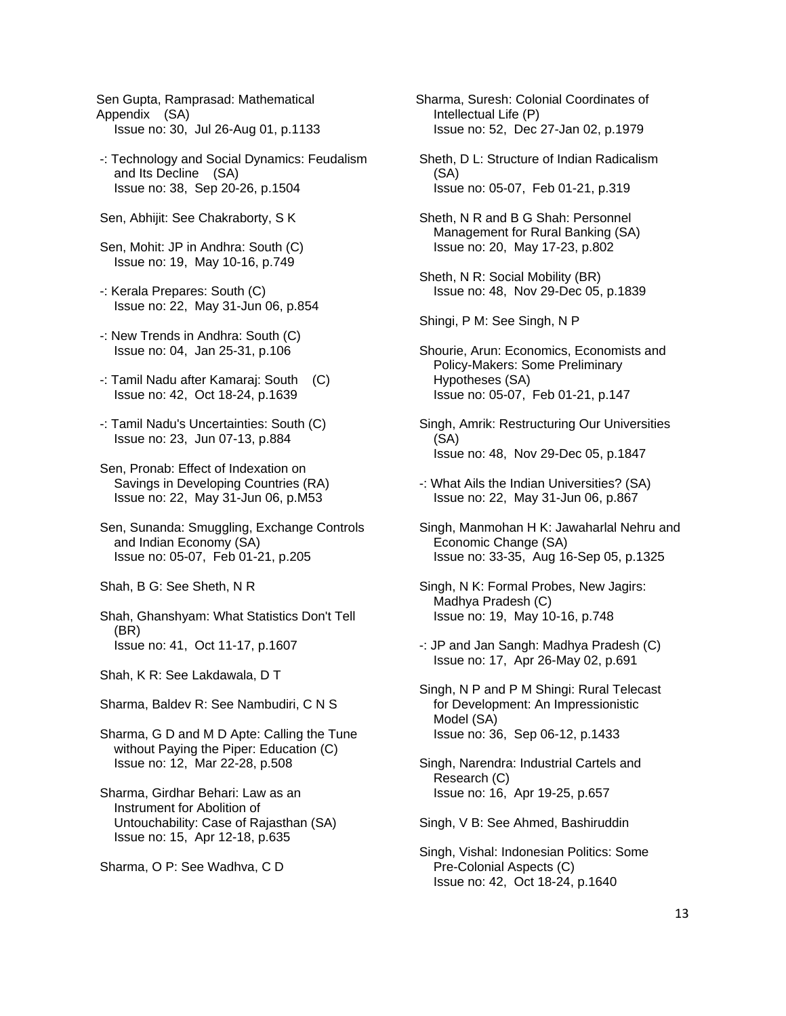Sen Gupta, Ramprasad: Mathematical Appendix (SA) Issue no: 30, Jul 26-Aug 01, p.1133

- -: Technology and Social Dynamics: Feudalism and Its Decline (SA) Issue no: 38, Sep 20-26, p.1504
- Sen, Abhijit: See Chakraborty, S K
- Sen, Mohit: JP in Andhra: South (C) Issue no: 19, May 10-16, p.749
- -: Kerala Prepares: South (C) Issue no: 22, May 31-Jun 06, p.854
- -: New Trends in Andhra: South (C) Issue no: 04, Jan 25-31, p.106
- -: Tamil Nadu after Kamaraj: South (C) Issue no: 42, Oct 18-24, p.1639
- -: Tamil Nadu's Uncertainties: South (C) Issue no: 23, Jun 07-13, p.884
- Sen, Pronab: Effect of Indexation on Savings in Developing Countries (RA) Issue no: 22, May 31-Jun 06, p.M53
- Sen, Sunanda: Smuggling, Exchange Controls and Indian Economy (SA) Issue no: 05-07, Feb 01-21, p.205
- Shah, B G: See Sheth, N R
- Shah, Ghanshyam: What Statistics Don't Tell (BR) Issue no: 41, Oct 11-17, p.1607
- Shah, K R: See Lakdawala, D T
- Sharma, Baldev R: See Nambudiri, C N S
- Sharma, G D and M D Apte: Calling the Tune without Paying the Piper: Education (C) Issue no: 12, Mar 22-28, p.508
- Sharma, Girdhar Behari: Law as an Instrument for Abolition of Untouchability: Case of Rajasthan (SA) Issue no: 15, Apr 12-18, p.635
- Sharma, O P: See Wadhva, C D
- Sharma, Suresh: Colonial Coordinates of Intellectual Life (P) Issue no: 52, Dec 27-Jan 02, p.1979
- Sheth, D L: Structure of Indian Radicalism (SA) Issue no: 05-07, Feb 01-21, p.319
- Sheth, N R and B G Shah: Personnel Management for Rural Banking (SA) Issue no: 20, May 17-23, p.802
- Sheth, N R: Social Mobility (BR) Issue no: 48, Nov 29-Dec 05, p.1839

Shingi, P M: See Singh, N P

- Shourie, Arun: Economics, Economists and Policy-Makers: Some Preliminary Hypotheses (SA) Issue no: 05-07, Feb 01-21, p.147
- Singh, Amrik: Restructuring Our Universities (SA) Issue no: 48, Nov 29-Dec 05, p.1847
- -: What Ails the Indian Universities? (SA) Issue no: 22, May 31-Jun 06, p.867
- Singh, Manmohan H K: Jawaharlal Nehru and Economic Change (SA) Issue no: 33-35, Aug 16-Sep 05, p.1325
- Singh, N K: Formal Probes, New Jagirs: Madhya Pradesh (C) Issue no: 19, May 10-16, p.748
- -: JP and Jan Sangh: Madhya Pradesh (C) Issue no: 17, Apr 26-May 02, p.691
- Singh, N P and P M Shingi: Rural Telecast for Development: An Impressionistic Model (SA) Issue no: 36, Sep 06-12, p.1433
- Singh, Narendra: Industrial Cartels and Research (C) Issue no: 16, Apr 19-25, p.657
- Singh, V B: See Ahmed, Bashiruddin
- Singh, Vishal: Indonesian Politics: Some Pre-Colonial Aspects (C) Issue no: 42, Oct 18-24, p.1640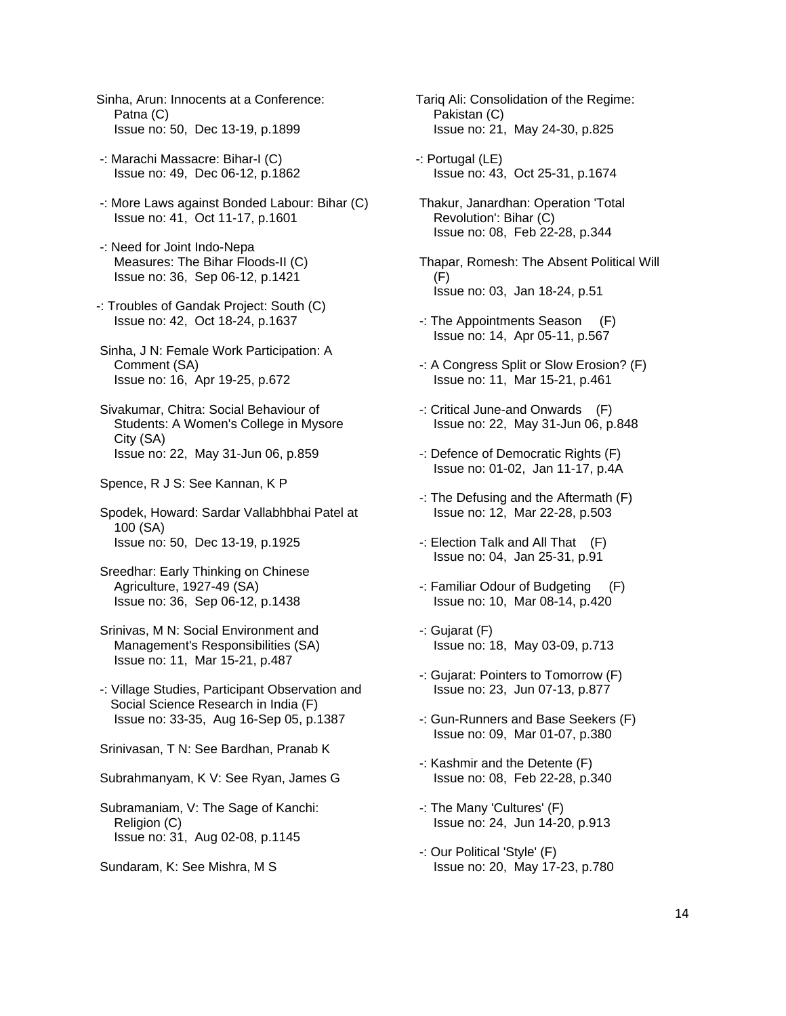- Sinha, Arun: Innocents at a Conference: Patna (C) Issue no: 50, Dec 13-19, p.1899
- -: Marachi Massacre: Bihar-I (C) Issue no: 49, Dec 06-12, p.1862
- -: More Laws against Bonded Labour: Bihar (C) Issue no: 41, Oct 11-17, p.1601
- -: Need for Joint Indo-Nepa Measures: The Bihar Floods-II (C) Issue no: 36, Sep 06-12, p.1421
- -: Troubles of Gandak Project: South (C) Issue no: 42, Oct 18-24, p.1637
- Sinha, J N: Female Work Participation: A Comment (SA) Issue no: 16, Apr 19-25, p.672
- Sivakumar, Chitra: Social Behaviour of Students: A Women's College in Mysore City (SA) Issue no: 22, May 31-Jun 06, p.859
- Spence, R J S: See Kannan, K P

 Spodek, Howard: Sardar Vallabhbhai Patel at 100 (SA) Issue no: 50, Dec 13-19, p.1925

- Sreedhar: Early Thinking on Chinese Agriculture, 1927-49 (SA) Issue no: 36, Sep 06-12, p.1438
- Srinivas, M N: Social Environment and Management's Responsibilities (SA) Issue no: 11, Mar 15-21, p.487
- -: Village Studies, Participant Observation and Social Science Research in India (F) Issue no: 33-35, Aug 16-Sep 05, p.1387
- Srinivasan, T N: See Bardhan, Pranab K
- Subrahmanyam, K V: See Ryan, James G
- Subramaniam, V: The Sage of Kanchi: Religion (C) Issue no: 31, Aug 02-08, p.1145
- Sundaram, K: See Mishra, M S
- Tariq Ali: Consolidation of the Regime: Pakistan (C) Issue no: 21, May 24-30, p.825
- -: Portugal (LE) Issue no: 43, Oct 25-31, p.1674
- Thakur, Janardhan: Operation 'Total Revolution': Bihar (C) Issue no: 08, Feb 22-28, p.344
- Thapar, Romesh: The Absent Political Will  $(F)$ Issue no: 03, Jan 18-24, p.51
- -: The Appointments Season (F) Issue no: 14, Apr 05-11, p.567
- -: A Congress Split or Slow Erosion? (F) Issue no: 11, Mar 15-21, p.461
- -: Critical June-and Onwards (F) Issue no: 22, May 31-Jun 06, p.848
- -: Defence of Democratic Rights (F) Issue no: 01-02, Jan 11-17, p.4A
- -: The Defusing and the Aftermath (F) Issue no: 12, Mar 22-28, p.503
- -: Election Talk and All That (F) Issue no: 04, Jan 25-31, p.91
- -: Familiar Odour of Budgeting (F) Issue no: 10, Mar 08-14, p.420
- -: Gujarat (F) Issue no: 18, May 03-09, p.713
- -: Gujarat: Pointers to Tomorrow (F) Issue no: 23, Jun 07-13, p.877
- -: Gun-Runners and Base Seekers (F) Issue no: 09, Mar 01-07, p.380
- -: Kashmir and the Detente (F) Issue no: 08, Feb 22-28, p.340
- -: The Many 'Cultures' (F) Issue no: 24, Jun 14-20, p.913
- -: Our Political 'Style' (F) Issue no: 20, May 17-23, p.780